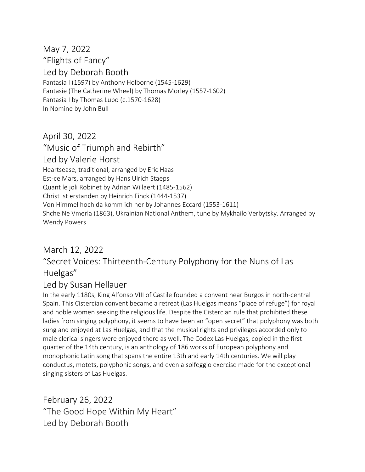May 7, 2022 "Flights of Fancy" Led by Deborah Booth Fantasia I (1597) by Anthony Holborne (1545-1629) Fantasie (The Catherine Wheel) by Thomas Morley (1557-1602) Fantasia I by Thomas Lupo (c.1570-1628) In Nomine by John Bull

April 30, 2022

"Music of Triumph and Rebirth" Led by Valerie Horst Heartsease, traditional, arranged by Eric Haas Est-ce Mars, arranged by Hans Ulrich Staeps Quant le joli Robinet by Adrian Willaert (1485-1562) Christ ist erstanden by Heinrich Finck (1444-1537) Von Himmel hoch da komm ich her by Johannes Eccard (1553-1611) Shche Ne Vmerla (1863), Ukrainian National Anthem, tune by Mykhailo Verbytsky. Arranged by Wendy Powers

## March 12, 2022

## "Secret Voices: Thirteenth-Century Polyphony for the Nuns of Las Huelgas"

## Led by Susan Hellauer

In the early 1180s, King Alfonso VIII of Castile founded a convent near Burgos in north-central Spain. This Cistercian convent became a retreat (Las Huelgas means "place of refuge") for royal and noble women seeking the religious life. Despite the Cistercian rule that prohibited these ladies from singing polyphony, it seems to have been an "open secret" that polyphony was both sung and enjoyed at Las Huelgas, and that the musical rights and privileges accorded only to male clerical singers were enjoyed there as well. The Codex Las Huelgas, copied in the first quarter of the 14th century, is an anthology of 186 works of European polyphony and monophonic Latin song that spans the entire 13th and early 14th centuries. We will play conductus, motets, polyphonic songs, and even a solfeggio exercise made for the exceptional singing sisters of Las Huelgas.

February 26, 2022 "The Good Hope Within My Heart" Led by Deborah Booth